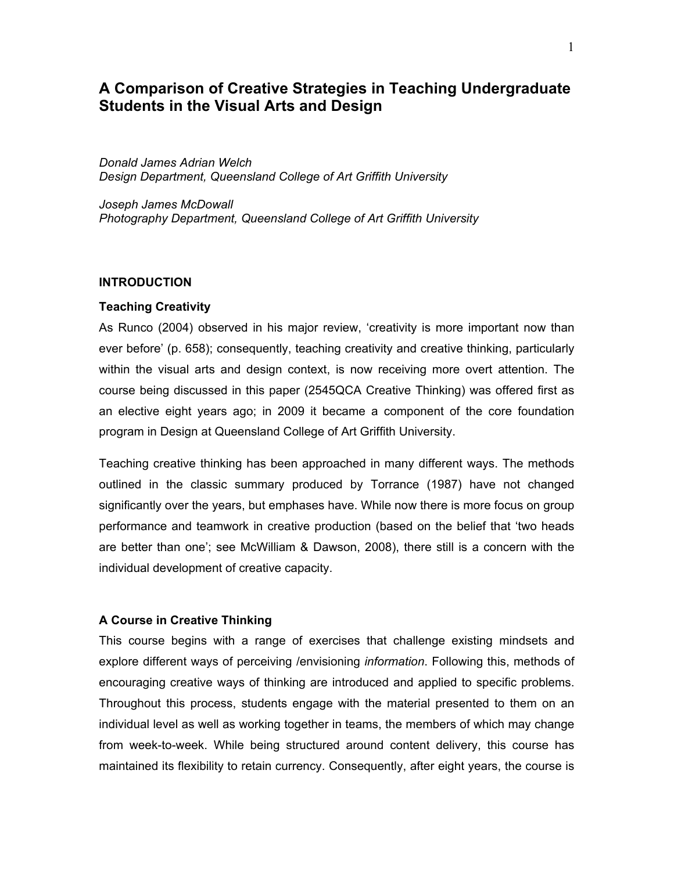# **A Comparison of Creative Strategies in Teaching Undergraduate Students in the Visual Arts and Design**

*Donald James Adrian Welch Design Department, Queensland College of Art Griffith University*

*Joseph James McDowall Photography Department, Queensland College of Art Griffith University*

### **INTRODUCTION**

## **Teaching Creativity**

As Runco (2004) observed in his major review, 'creativity is more important now than ever before' (p. 658); consequently, teaching creativity and creative thinking, particularly within the visual arts and design context, is now receiving more overt attention. The course being discussed in this paper (2545QCA Creative Thinking) was offered first as an elective eight years ago; in 2009 it became a component of the core foundation program in Design at Queensland College of Art Griffith University.

Teaching creative thinking has been approached in many different ways. The methods outlined in the classic summary produced by Torrance (1987) have not changed significantly over the years, but emphases have. While now there is more focus on group performance and teamwork in creative production (based on the belief that 'two heads are better than one'; see McWilliam & Dawson, 2008), there still is a concern with the individual development of creative capacity.

### **A Course in Creative Thinking**

This course begins with a range of exercises that challenge existing mindsets and explore different ways of perceiving /envisioning *information*. Following this, methods of encouraging creative ways of thinking are introduced and applied to specific problems. Throughout this process, students engage with the material presented to them on an individual level as well as working together in teams, the members of which may change from week-to-week. While being structured around content delivery, this course has maintained its flexibility to retain currency. Consequently, after eight years, the course is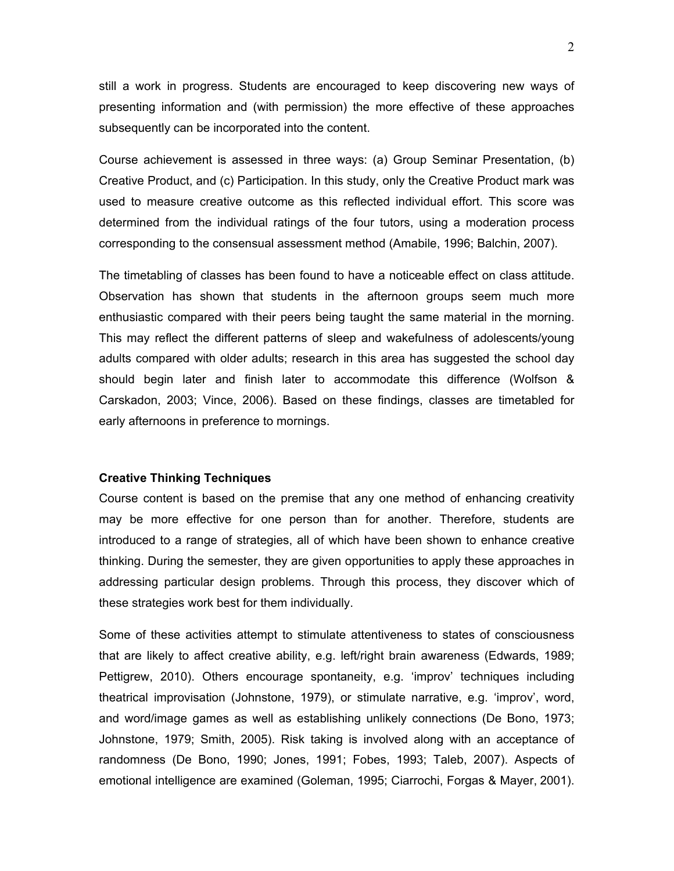still a work in progress. Students are encouraged to keep discovering new ways of presenting information and (with permission) the more effective of these approaches subsequently can be incorporated into the content.

Course achievement is assessed in three ways: (a) Group Seminar Presentation, (b) Creative Product, and (c) Participation. In this study, only the Creative Product mark was used to measure creative outcome as this reflected individual effort. This score was determined from the individual ratings of the four tutors, using a moderation process corresponding to the consensual assessment method (Amabile, 1996; Balchin, 2007).

The timetabling of classes has been found to have a noticeable effect on class attitude. Observation has shown that students in the afternoon groups seem much more enthusiastic compared with their peers being taught the same material in the morning. This may reflect the different patterns of sleep and wakefulness of adolescents/young adults compared with older adults; research in this area has suggested the school day should begin later and finish later to accommodate this difference (Wolfson & Carskadon, 2003; Vince, 2006). Based on these findings, classes are timetabled for early afternoons in preference to mornings.

# **Creative Thinking Techniques**

Course content is based on the premise that any one method of enhancing creativity may be more effective for one person than for another. Therefore, students are introduced to a range of strategies, all of which have been shown to enhance creative thinking. During the semester, they are given opportunities to apply these approaches in addressing particular design problems. Through this process, they discover which of these strategies work best for them individually.

Some of these activities attempt to stimulate attentiveness to states of consciousness that are likely to affect creative ability, e.g. left/right brain awareness (Edwards, 1989; Pettigrew, 2010). Others encourage spontaneity, e.g. 'improv' techniques including theatrical improvisation (Johnstone, 1979), or stimulate narrative, e.g. 'improv', word, and word/image games as well as establishing unlikely connections (De Bono, 1973; Johnstone, 1979; Smith, 2005). Risk taking is involved along with an acceptance of randomness (De Bono, 1990; Jones, 1991; Fobes, 1993; Taleb, 2007). Aspects of emotional intelligence are examined (Goleman, 1995; Ciarrochi, Forgas & Mayer, 2001).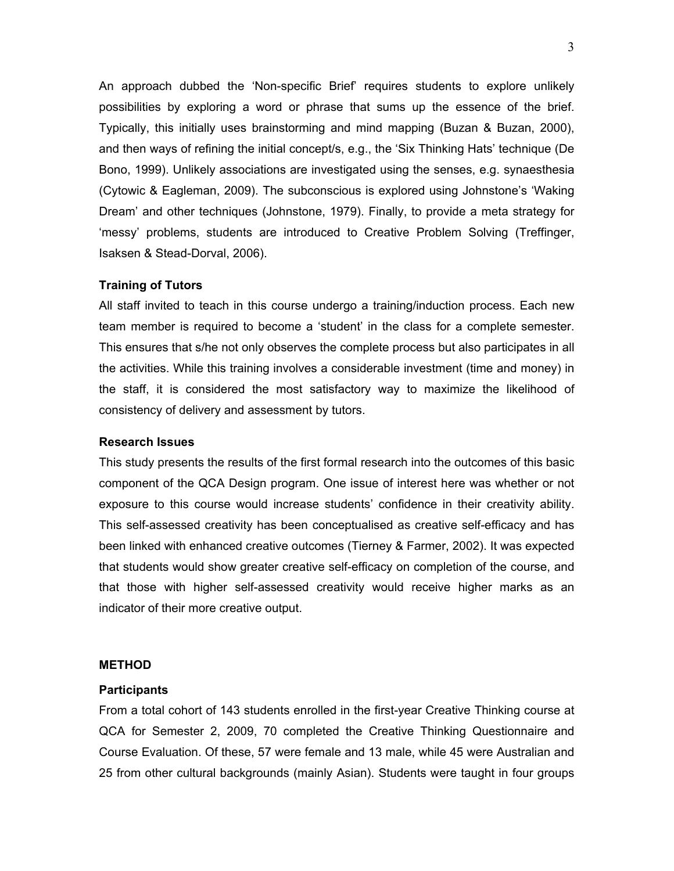An approach dubbed the 'Non-specific Brief' requires students to explore unlikely possibilities by exploring a word or phrase that sums up the essence of the brief. Typically, this initially uses brainstorming and mind mapping (Buzan & Buzan, 2000), and then ways of refining the initial concept/s, e.g., the 'Six Thinking Hats' technique (De Bono, 1999). Unlikely associations are investigated using the senses, e.g. synaesthesia (Cytowic & Eagleman, 2009). The subconscious is explored using Johnstone's 'Waking Dream' and other techniques (Johnstone, 1979). Finally, to provide a meta strategy for 'messy' problems, students are introduced to Creative Problem Solving (Treffinger, Isaksen & Stead-Dorval, 2006).

# **Training of Tutors**

All staff invited to teach in this course undergo a training/induction process. Each new team member is required to become a 'student' in the class for a complete semester. This ensures that s/he not only observes the complete process but also participates in all the activities. While this training involves a considerable investment (time and money) in the staff, it is considered the most satisfactory way to maximize the likelihood of consistency of delivery and assessment by tutors.

# **Research Issues**

This study presents the results of the first formal research into the outcomes of this basic component of the QCA Design program. One issue of interest here was whether or not exposure to this course would increase students' confidence in their creativity ability. This self-assessed creativity has been conceptualised as creative self-efficacy and has been linked with enhanced creative outcomes (Tierney & Farmer, 2002). It was expected that students would show greater creative self-efficacy on completion of the course, and that those with higher self-assessed creativity would receive higher marks as an indicator of their more creative output.

### **METHOD**

#### **Participants**

From a total cohort of 143 students enrolled in the first-year Creative Thinking course at QCA for Semester 2, 2009, 70 completed the Creative Thinking Questionnaire and Course Evaluation. Of these, 57 were female and 13 male, while 45 were Australian and 25 from other cultural backgrounds (mainly Asian). Students were taught in four groups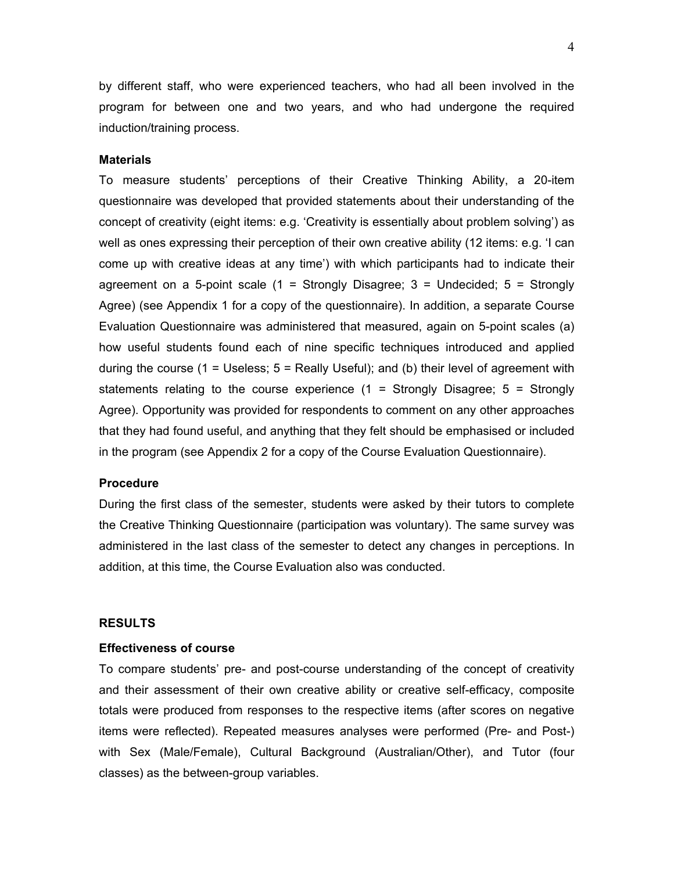by different staff, who were experienced teachers, who had all been involved in the program for between one and two years, and who had undergone the required induction/training process.

#### **Materials**

To measure students' perceptions of their Creative Thinking Ability, a 20-item questionnaire was developed that provided statements about their understanding of the concept of creativity (eight items: e.g. 'Creativity is essentially about problem solving') as well as ones expressing their perception of their own creative ability (12 items: e.g. 'I can come up with creative ideas at any time') with which participants had to indicate their agreement on a 5-point scale  $(1 -$  Strongly Disagree;  $3 -$  Undecided;  $5 -$  Strongly Agree) (see Appendix 1 for a copy of the questionnaire). In addition, a separate Course Evaluation Questionnaire was administered that measured, again on 5-point scales (a) how useful students found each of nine specific techniques introduced and applied during the course  $(1 =$  Useless;  $5 =$  Really Useful); and  $(b)$  their level of agreement with statements relating to the course experience  $(1 =$  Strongly Disagree;  $5 =$  Strongly Agree). Opportunity was provided for respondents to comment on any other approaches that they had found useful, and anything that they felt should be emphasised or included in the program (see Appendix 2 for a copy of the Course Evaluation Questionnaire).

# **Procedure**

During the first class of the semester, students were asked by their tutors to complete the Creative Thinking Questionnaire (participation was voluntary). The same survey was administered in the last class of the semester to detect any changes in perceptions. In addition, at this time, the Course Evaluation also was conducted.

### **RESULTS**

### **Effectiveness of course**

To compare students' pre- and post-course understanding of the concept of creativity and their assessment of their own creative ability or creative self-efficacy, composite totals were produced from responses to the respective items (after scores on negative items were reflected). Repeated measures analyses were performed (Pre- and Post-) with Sex (Male/Female), Cultural Background (Australian/Other), and Tutor (four classes) as the between-group variables.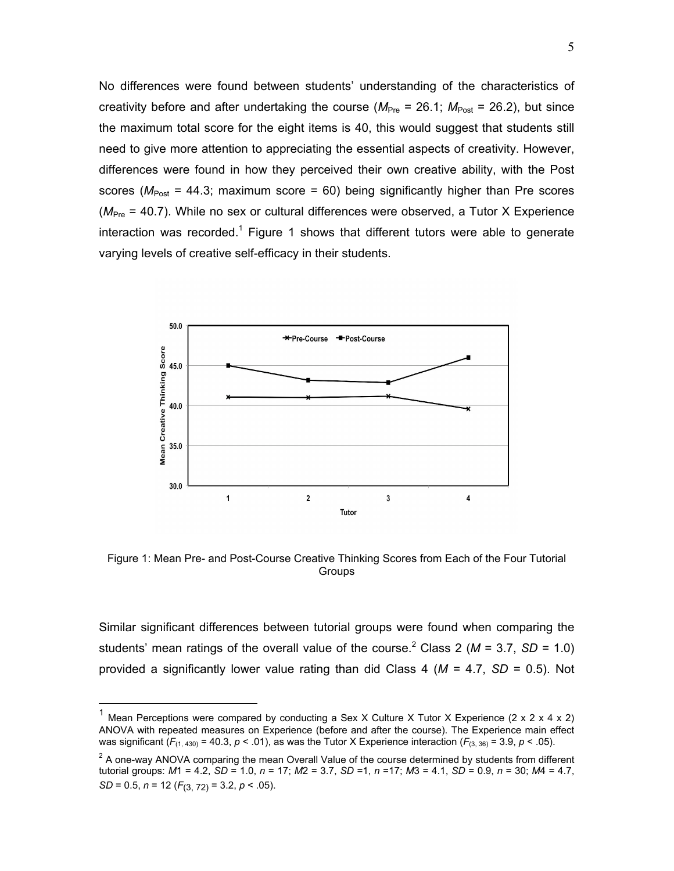No differences were found between students' understanding of the characteristics of creativity before and after undertaking the course ( $M_{\text{Pre}}$  = 26.1;  $M_{\text{Post}}$  = 26.2), but since the maximum total score for the eight items is 40, this would suggest that students still need to give more attention to appreciating the essential aspects of creativity. However, differences were found in how they perceived their own creative ability, with the Post scores ( $M_{\text{Post}}$  = 44.3; maximum score = 60) being significantly higher than Pre scores ( $M_{\text{Pre}}$  = 40.7). While no sex or cultural differences were observed, a Tutor X Experience interaction was recorded.<sup>1</sup> Figure 1 shows that different tutors were able to generate varying levels of creative self-efficacy in their students.



Figure 1: Mean Pre- and Post-Course Creative Thinking Scores from Each of the Four Tutorial **Groups** 

Similar significant differences between tutorial groups were found when comparing the students' mean ratings of the overall value of the course.<sup>2</sup> Class 2 ( $M = 3.7$ , SD = 1.0) provided a significantly lower value rating than did Class 4 (*M* = 4.7, *SD* = 0.5). Not

Mean Perceptions were compared by conducting a Sex X Culture X Tutor X Experience (2 x 2 x 4 x 2) ANOVA with repeated measures on Experience (before and after the course). The Experience main effect was significant  $(F_{(1,430)} = 40.3, p < .01)$ , as was the Tutor X Experience interaction  $(F_{(3,36)} = 3.9, p < .05)$ .

 $2$  A one-way ANOVA comparing the mean Overall Value of the course determined by students from different tutorial groups: *M*1 = 4.2, *SD* = 1.0, *n* = 17; *M*2 = 3.7, *SD* =1, *n* =17; *M*3 = 4.1, *SD* = 0.9, *n* = 30; *M*4 = 4.7, *SD* = 0.5, *n* = 12 (*F*(3, 72) = 3.2, *p* < .05).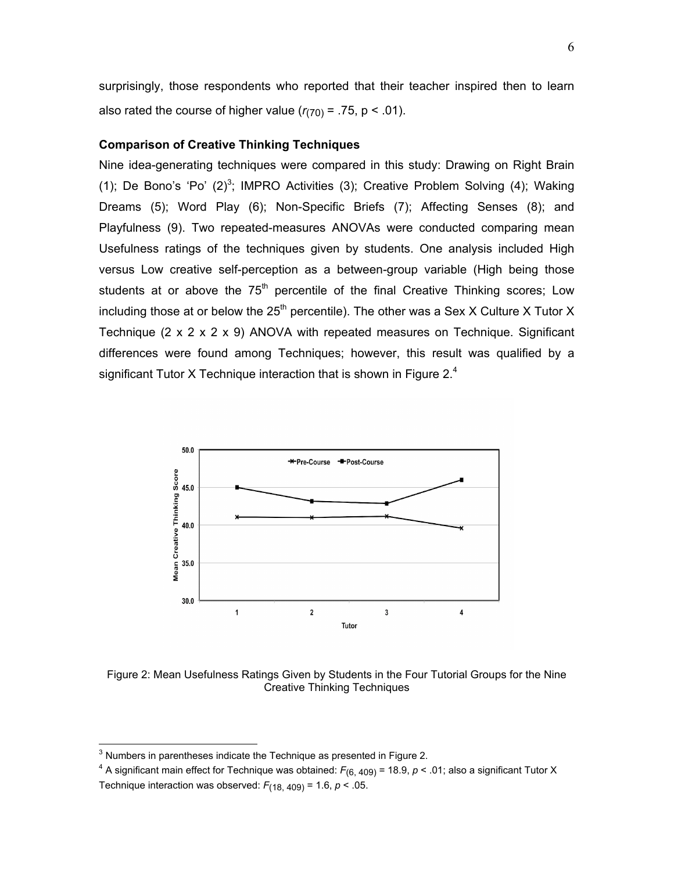surprisingly, those respondents who reported that their teacher inspired then to learn also rated the course of higher value  $(r_{(70)} = .75, p < .01)$ .

# **Comparison of Creative Thinking Techniques**

Nine idea-generating techniques were compared in this study: Drawing on Right Brain (1); De Bono's 'Po'  $(2)^3$ ; IMPRO Activities (3); Creative Problem Solving (4); Waking Dreams (5); Word Play (6); Non-Specific Briefs (7); Affecting Senses (8); and Playfulness (9). Two repeated-measures ANOVAs were conducted comparing mean Usefulness ratings of the techniques given by students. One analysis included High versus Low creative self-perception as a between-group variable (High being those students at or above the  $75<sup>th</sup>$  percentile of the final Creative Thinking scores; Low including those at or below the  $25<sup>th</sup>$  percentile). The other was a Sex X Culture X Tutor X Technique (2 x 2 x 2 x 9) ANOVA with repeated measures on Technique. Significant differences were found among Techniques; however, this result was qualified by a significant Tutor X Technique interaction that is shown in Figure  $2<sup>4</sup>$ 



Figure 2: Mean Usefulness Ratings Given by Students in the Four Tutorial Groups for the Nine Creative Thinking Techniques

 <sup>3</sup> Numbers in parentheses indicate the Technique as presented in Figure 2.

<sup>&</sup>lt;sup>4</sup> A significant main effect for Technique was obtained:  $F_{(6, 409)}$  = 18.9,  $p$  < .01; also a significant Tutor X Technique interaction was observed:  $F_{(18, 409)} = 1.6$ ,  $p < .05$ .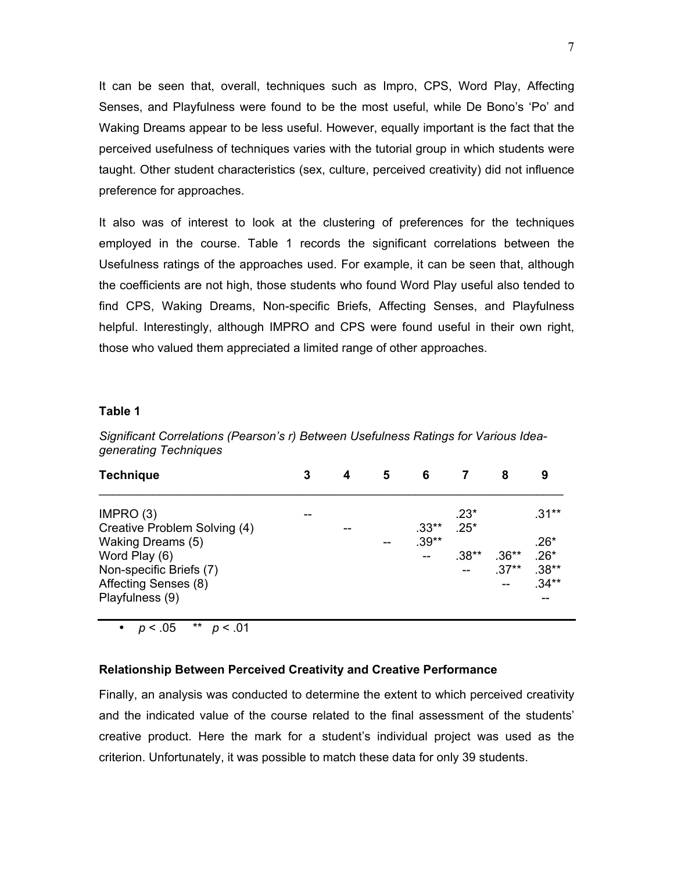It can be seen that, overall, techniques such as Impro, CPS, Word Play, Affecting Senses, and Playfulness were found to be the most useful, while De Bono's 'Po' and Waking Dreams appear to be less useful. However, equally important is the fact that the perceived usefulness of techniques varies with the tutorial group in which students were taught. Other student characteristics (sex, culture, perceived creativity) did not influence preference for approaches.

It also was of interest to look at the clustering of preferences for the techniques employed in the course. Table 1 records the significant correlations between the Usefulness ratings of the approaches used. For example, it can be seen that, although the coefficients are not high, those students who found Word Play useful also tended to find CPS, Waking Dreams, Non-specific Briefs, Affecting Senses, and Playfulness helpful. Interestingly, although IMPRO and CPS were found useful in their own right, those who valued them appreciated a limited range of other approaches.

### **Table 1**

*Significant Correlations (Pearson's r) Between Usefulness Ratings for Various Ideagenerating Techniques*

| <b>Technique</b>             | 3 | 4 | 5 | 6       |         | 8       | 9       |
|------------------------------|---|---|---|---------|---------|---------|---------|
| IMPRO (3)                    |   |   |   |         | $.23*$  |         | $.31**$ |
| Creative Problem Solving (4) |   |   |   | $.33**$ | $.25*$  |         |         |
| <b>Waking Dreams (5)</b>     |   |   |   | $.39**$ |         |         | $.26*$  |
| Word Play (6)                |   |   |   |         | $.38**$ | $.36**$ | $.26*$  |
| Non-specific Briefs (7)      |   |   |   |         |         | $.37**$ | $.38**$ |
| Affecting Senses (8)         |   |   |   |         |         |         | $.34**$ |
| Playfulness (9)              |   |   |   |         |         |         |         |

 $p < 05$  \*\*  $p < 01$ 

### **Relationship Between Perceived Creativity and Creative Performance**

Finally, an analysis was conducted to determine the extent to which perceived creativity and the indicated value of the course related to the final assessment of the students' creative product. Here the mark for a student's individual project was used as the criterion. Unfortunately, it was possible to match these data for only 39 students.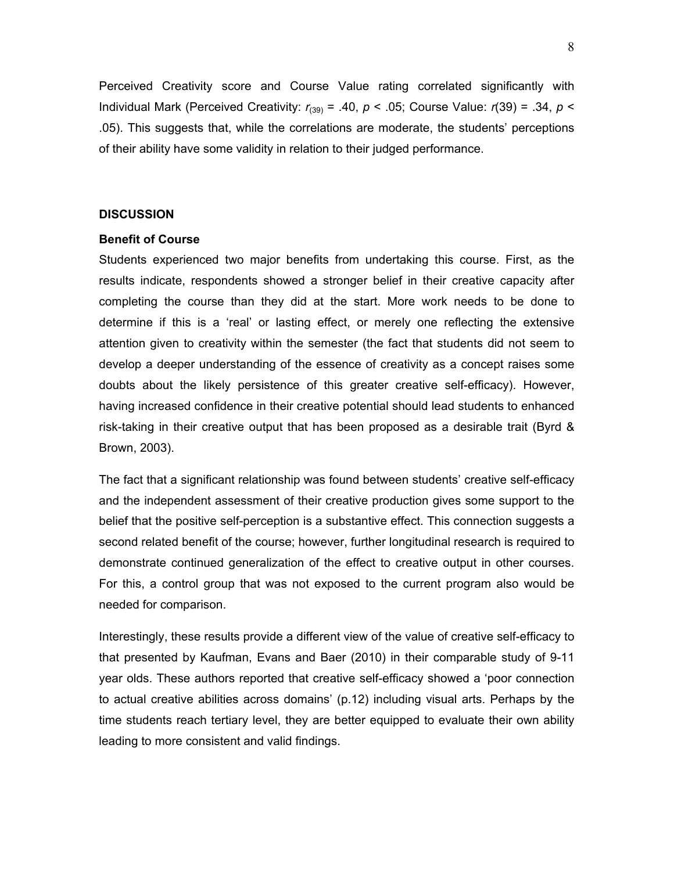Perceived Creativity score and Course Value rating correlated significantly with Individual Mark (Perceived Creativity: *r*(39) = .40, *p* < .05; Course Value: *r*(39) = .34, *p* < .05). This suggests that, while the correlations are moderate, the students' perceptions of their ability have some validity in relation to their judged performance.

### **DISCUSSION**

## **Benefit of Course**

Students experienced two major benefits from undertaking this course. First, as the results indicate, respondents showed a stronger belief in their creative capacity after completing the course than they did at the start. More work needs to be done to determine if this is a 'real' or lasting effect, or merely one reflecting the extensive attention given to creativity within the semester (the fact that students did not seem to develop a deeper understanding of the essence of creativity as a concept raises some doubts about the likely persistence of this greater creative self-efficacy). However, having increased confidence in their creative potential should lead students to enhanced risk-taking in their creative output that has been proposed as a desirable trait (Byrd & Brown, 2003).

The fact that a significant relationship was found between students' creative self-efficacy and the independent assessment of their creative production gives some support to the belief that the positive self-perception is a substantive effect. This connection suggests a second related benefit of the course; however, further longitudinal research is required to demonstrate continued generalization of the effect to creative output in other courses. For this, a control group that was not exposed to the current program also would be needed for comparison.

Interestingly, these results provide a different view of the value of creative self-efficacy to that presented by Kaufman, Evans and Baer (2010) in their comparable study of 9-11 year olds. These authors reported that creative self-efficacy showed a 'poor connection to actual creative abilities across domains' (p.12) including visual arts. Perhaps by the time students reach tertiary level, they are better equipped to evaluate their own ability leading to more consistent and valid findings.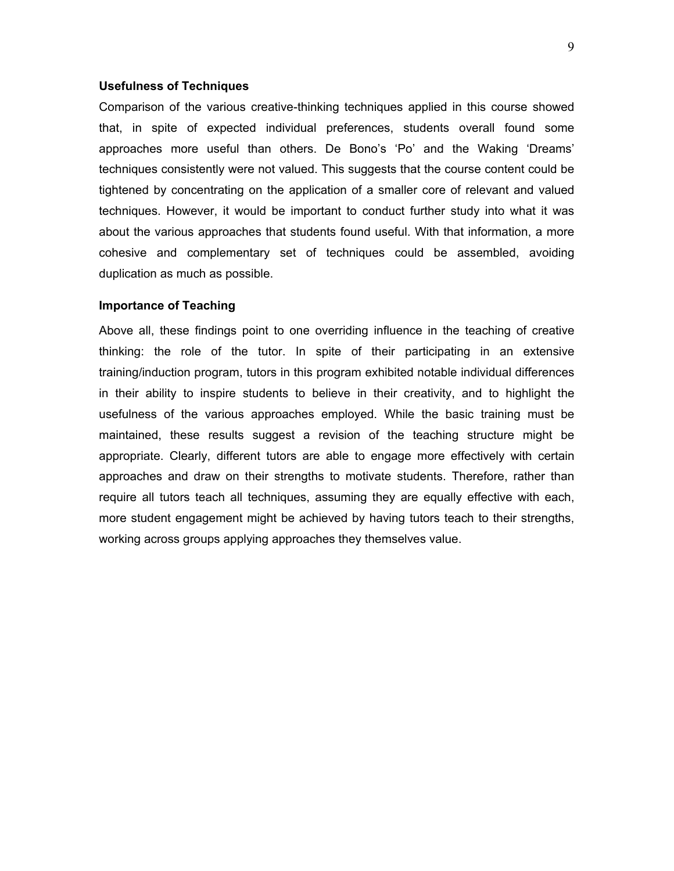#### **Usefulness of Techniques**

Comparison of the various creative-thinking techniques applied in this course showed that, in spite of expected individual preferences, students overall found some approaches more useful than others. De Bono's 'Po' and the Waking 'Dreams' techniques consistently were not valued. This suggests that the course content could be tightened by concentrating on the application of a smaller core of relevant and valued techniques. However, it would be important to conduct further study into what it was about the various approaches that students found useful. With that information, a more cohesive and complementary set of techniques could be assembled, avoiding duplication as much as possible.

#### **Importance of Teaching**

Above all, these findings point to one overriding influence in the teaching of creative thinking: the role of the tutor. In spite of their participating in an extensive training/induction program, tutors in this program exhibited notable individual differences in their ability to inspire students to believe in their creativity, and to highlight the usefulness of the various approaches employed. While the basic training must be maintained, these results suggest a revision of the teaching structure might be appropriate. Clearly, different tutors are able to engage more effectively with certain approaches and draw on their strengths to motivate students. Therefore, rather than require all tutors teach all techniques, assuming they are equally effective with each, more student engagement might be achieved by having tutors teach to their strengths, working across groups applying approaches they themselves value.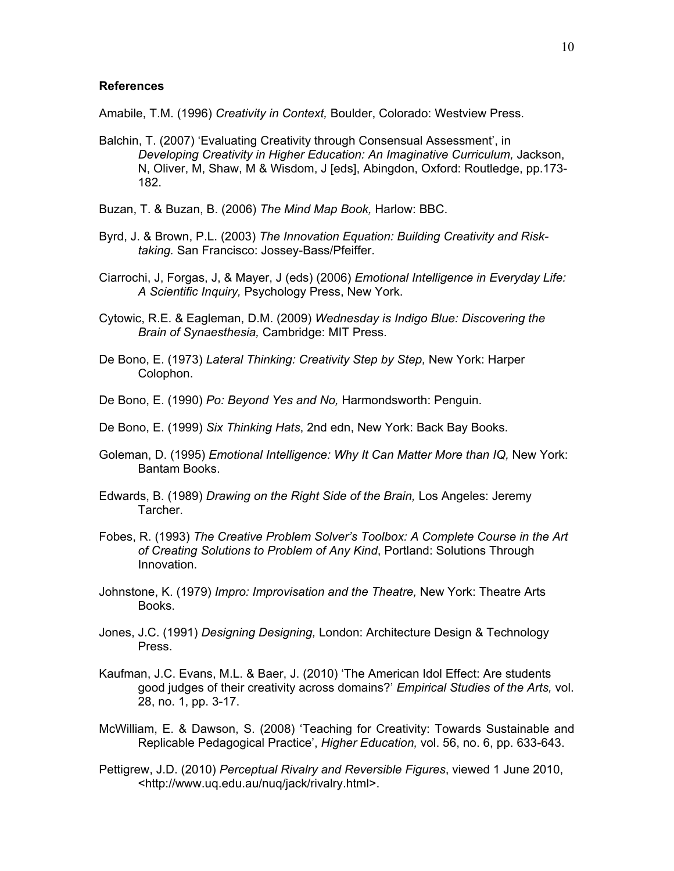## **References**

Amabile, T.M. (1996) *Creativity in Context,* Boulder, Colorado: Westview Press.

- Balchin, T. (2007) 'Evaluating Creativity through Consensual Assessment', in *Developing Creativity in Higher Education: An Imaginative Curriculum,* Jackson, N, Oliver, M, Shaw, M & Wisdom, J [eds], Abingdon, Oxford: Routledge, pp.173- 182.
- Buzan, T. & Buzan, B. (2006) *The Mind Map Book,* Harlow: BBC.
- Byrd, J. & Brown, P.L. (2003) *The Innovation Equation: Building Creativity and Risktaking.* San Francisco: Jossey-Bass/Pfeiffer.
- Ciarrochi, J, Forgas, J, & Mayer, J (eds) (2006) *Emotional Intelligence in Everyday Life: A Scientific Inquiry,* Psychology Press, New York.
- Cytowic, R.E. & Eagleman, D.M. (2009) *Wednesday is Indigo Blue: Discovering the Brain of Synaesthesia,* Cambridge: MIT Press.
- De Bono, E. (1973) *Lateral Thinking: Creativity Step by Step,* New York: Harper Colophon.
- De Bono, E. (1990) *Po: Beyond Yes and No,* Harmondsworth: Penguin.
- De Bono, E. (1999) *Six Thinking Hats*, 2nd edn, New York: Back Bay Books.
- Goleman, D. (1995) *Emotional Intelligence: Why It Can Matter More than IQ,* New York: Bantam Books.
- Edwards, B. (1989) *Drawing on the Right Side of the Brain,* Los Angeles: Jeremy Tarcher.
- Fobes, R. (1993) *The Creative Problem Solver's Toolbox: A Complete Course in the Art of Creating Solutions to Problem of Any Kind*, Portland: Solutions Through Innovation.
- Johnstone, K. (1979) *Impro: Improvisation and the Theatre,* New York: Theatre Arts Books.
- Jones, J.C. (1991) *Designing Designing,* London: Architecture Design & Technology Press.
- Kaufman, J.C. Evans, M.L. & Baer, J. (2010) 'The American Idol Effect: Are students good judges of their creativity across domains?' *Empirical Studies of the Arts,* vol. 28, no. 1, pp. 3-17.
- McWilliam, E. & Dawson, S. (2008) 'Teaching for Creativity: Towards Sustainable and Replicable Pedagogical Practice', *Higher Education,* vol. 56, no. 6, pp. 633-643.
- Pettigrew, J.D. (2010) *Perceptual Rivalry and Reversible Figures*, viewed 1 June 2010, <http://www.uq.edu.au/nuq/jack/rivalry.html>.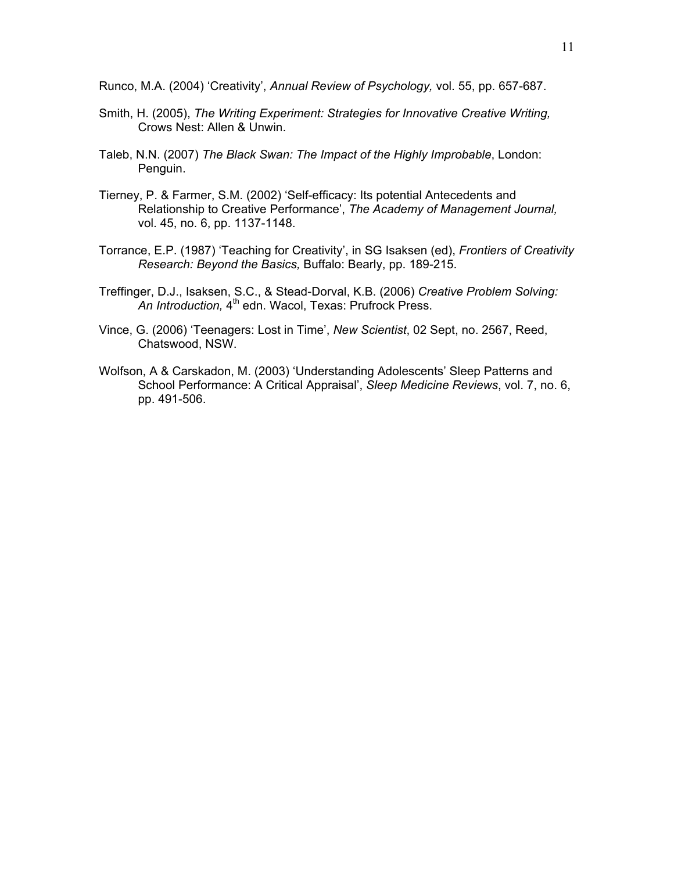Runco, M.A. (2004) 'Creativity', *Annual Review of Psychology,* vol. 55, pp. 657-687.

- Smith, H. (2005), *The Writing Experiment: Strategies for Innovative Creative Writing,*  Crows Nest: Allen & Unwin.
- Taleb, N.N. (2007) *The Black Swan: The Impact of the Highly Improbable*, London: Penguin.
- Tierney, P. & Farmer, S.M. (2002) 'Self-efficacy: Its potential Antecedents and Relationship to Creative Performance', *The Academy of Management Journal,* vol. 45, no. 6, pp. 1137-1148.
- Torrance, E.P. (1987) 'Teaching for Creativity', in SG Isaksen (ed), *Frontiers of Creativity Research: Beyond the Basics,* Buffalo: Bearly, pp. 189-215.
- Treffinger, D.J., Isaksen, S.C., & Stead-Dorval, K.B. (2006) *Creative Problem Solving:*  An Introduction, 4<sup>th</sup> edn. Wacol, Texas: Prufrock Press.
- Vince, G. (2006) 'Teenagers: Lost in Time', *New Scientist*, 02 Sept, no. 2567, Reed, Chatswood, NSW.
- Wolfson, A & Carskadon, M. (2003) 'Understanding Adolescents' Sleep Patterns and School Performance: A Critical Appraisal', *Sleep Medicine Reviews*, vol. 7, no. 6, pp. 491-506.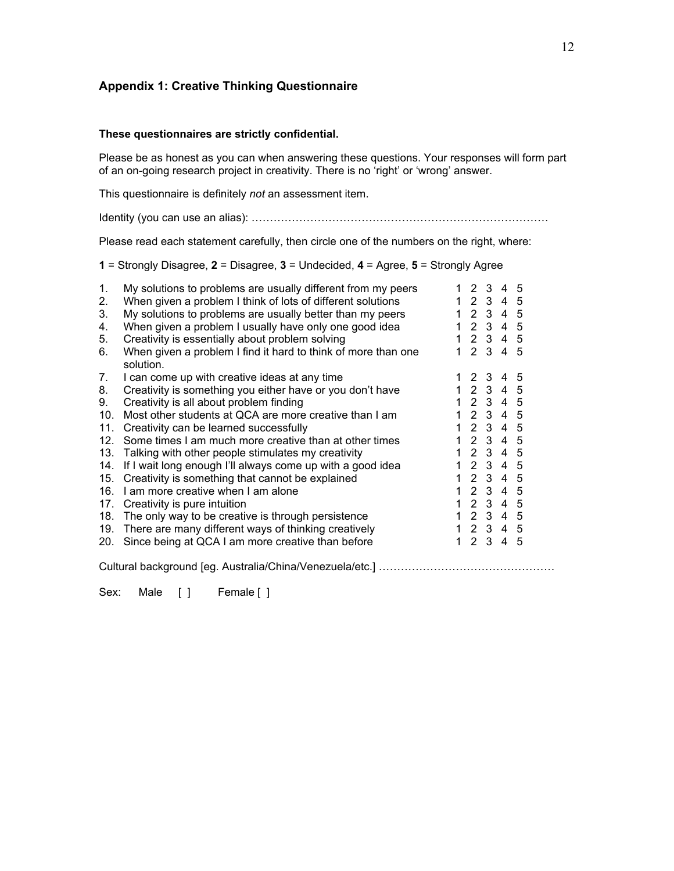# **Appendix 1: Creative Thinking Questionnaire**

### **These questionnaires are strictly confidential.**

Please be as honest as you can when answering these questions. Your responses will form part of an on-going research project in creativity. There is no 'right' or 'wrong' answer.

This questionnaire is definitely *not* an assessment item.

Identity (you can use an alias): ………………………………………………………………………

Please read each statement carefully, then circle one of the numbers on the right, where:

**1** = Strongly Disagree, **2** = Disagree, **3** = Undecided, **4** = Agree, **5** = Strongly Agree

| 1.  | My solutions to problems are usually different from my peers               |    |       | 2 3 4 5   |    |
|-----|----------------------------------------------------------------------------|----|-------|-----------|----|
| 2.  | When given a problem I think of lots of different solutions                |    |       | 1 2 3 4 5 |    |
| 3.  | My solutions to problems are usually better than my peers                  |    |       | 1 2 3 4 5 |    |
| 4.  | When given a problem I usually have only one good idea                     |    |       | 1 2 3 4 5 |    |
| 5.  | Creativity is essentially about problem solving                            |    |       | 1 2 3 4 5 |    |
| 6.  | When given a problem I find it hard to think of more than one<br>solution. |    |       | 1 2 3 4 5 |    |
| 7.  | I can come up with creative ideas at any time                              |    |       | 1 2 3 4 5 |    |
| 8.  | Creativity is something you either have or you don't have                  |    |       | 1 2 3 4 5 |    |
| 9.  | Creativity is all about problem finding                                    |    |       | 1 2 3 4 5 |    |
| 10. | Most other students at QCA are more creative than I am                     |    |       | 12345     |    |
| 11. | Creativity can be learned successfully                                     |    |       | 1 2 3 4 5 |    |
| 12. | Some times I am much more creative than at other times                     |    | 1 2 3 | 4 5       |    |
| 13. | Talking with other people stimulates my creativity                         |    |       | 1 2 3 4 5 |    |
| 14. | If I wait long enough I'll always come up with a good idea                 |    |       | 1 2 3 4 5 |    |
| 15. | Creativity is something that cannot be explained                           |    |       | 1 2 3 4 5 |    |
| 16. | I am more creative when I am alone                                         |    |       | 1 2 3 4 5 |    |
| 17. | Creativity is pure intuition                                               |    |       | 1 2 3 4 5 |    |
| 18. | The only way to be creative is through persistence                         |    |       | 1 2 3 4 5 |    |
| 19. | There are many different ways of thinking creatively                       |    |       | 1 2 3 4 5 |    |
| 20. | Since being at QCA I am more creative than before                          | 1. | 2 3   | 4         | -5 |

Cultural background [eg. Australia/China/Venezuela/etc.] …………………………………………

Sex: Male [ ] Female [ ]